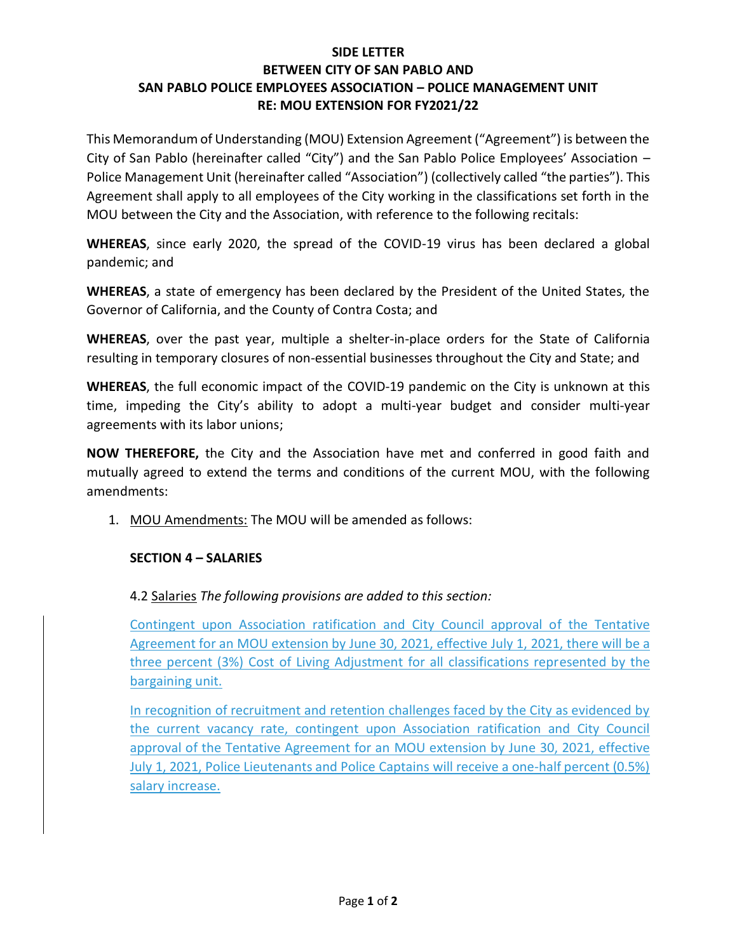## **SIDE LETTER BETWEEN CITY OF SAN PABLO AND SAN PABLO POLICE EMPLOYEES ASSOCIATION – POLICE MANAGEMENT UNIT RE: MOU EXTENSION FOR FY2021/22**

This Memorandum of Understanding (MOU) Extension Agreement ("Agreement") is between the City of San Pablo (hereinafter called "City") and the San Pablo Police Employees' Association – Police Management Unit (hereinafter called "Association") (collectively called "the parties"). This Agreement shall apply to all employees of the City working in the classifications set forth in the MOU between the City and the Association, with reference to the following recitals:

**WHEREAS**, since early 2020, the spread of the COVID-19 virus has been declared a global pandemic; and

**WHEREAS**, a state of emergency has been declared by the President of the United States, the Governor of California, and the County of Contra Costa; and

**WHEREAS**, over the past year, multiple a shelter-in-place orders for the State of California resulting in temporary closures of non-essential businesses throughout the City and State; and

**WHEREAS**, the full economic impact of the COVID-19 pandemic on the City is unknown at this time, impeding the City's ability to adopt a multi-year budget and consider multi-year agreements with its labor unions;

**NOW THEREFORE,** the City and the Association have met and conferred in good faith and mutually agreed to extend the terms and conditions of the current MOU, with the following amendments:

1. MOU Amendments: The MOU will be amended as follows:

## **SECTION 4 – SALARIES**

4.2 Salaries *The following provisions are added to this section:*

Contingent upon Association ratification and City Council approval of the Tentative Agreement for an MOU extension by June 30, 2021, effective July 1, 2021, there will be a three percent (3%) Cost of Living Adjustment for all classifications represented by the bargaining unit.

In recognition of recruitment and retention challenges faced by the City as evidenced by the current vacancy rate, contingent upon Association ratification and City Council approval of the Tentative Agreement for an MOU extension by June 30, 2021, effective July 1, 2021, Police Lieutenants and Police Captains will receive a one-half percent (0.5%) salary increase.